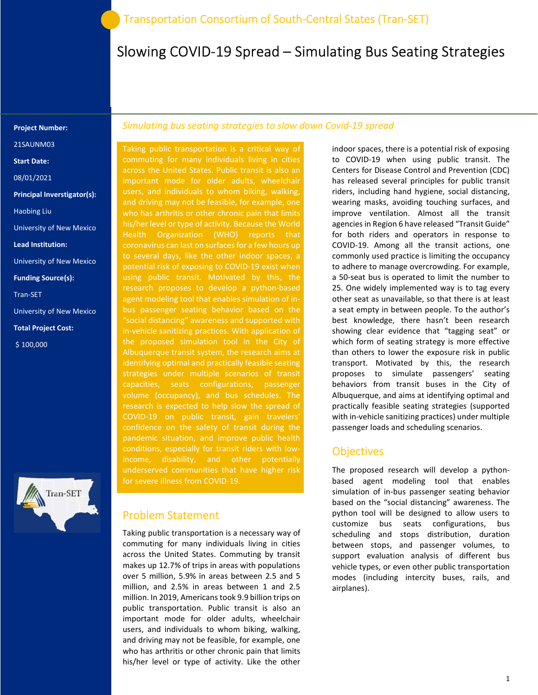# Slowing COVID-19 Spread – Simulating Bus Seating Strategies

#### Project Number:

21SAUNM03

Start Date:

08/01/2021

Principal Inverstigator(s):

Haobing Liu

University of New Mexico

Lead Institution:

University of New Mexico

Funding Source(s):

Tran-SET

University of New Mexico

Total Project Cost:

\$ 100,000



#### Simulating bus seating strategies to slow down Covid-19 spread

Taking public transportation is a critical way of commuting for many individuals living in cities across the United States. Public transit is also an important mode for older adults, wheelchair users, and individuals to whom biking, walking, and driving may not be feasible, for example, one who has arthritis or other chronic pain that limits his/her level or type of activity. Because the World Health Organization (WHO) reports that coronavirus can last on surfaces for a few hours up potential risk of exposing to COVID-19 exist when using public transit. Motivated by this, the research proposes to develop a python-based agent modeling tool that enables simulation of inbus passenger seating behavior based on the "social distancing" awareness and supported with in-vehicle sanitizing practices. With application of Albuquerque transit system, the research aims at identifying optimal and practically feasible seating strategies under multiple scenarios of transit capacities, seats configurations, passenger volume (occupancy), and bus schedules. The confidence on the safety of transit during the underserved communities that have higher risk for severe illness from COVID-19.

#### Problem Statement

Taking public transportation is a necessary way of commuting for many individuals living in cities across the United States. Commuting by transit makes up 12.7% of trips in areas with populations over 5 million, 5.9% in areas between 2.5 and 5 million, and 2.5% in areas between 1 and 2.5 million. In 2019, Americans took 9.9 billion trips on public transportation. Public transit is also an important mode for older adults, wheelchair users, and individuals to whom biking, walking, and driving may not be feasible, for example, one who has arthritis or other chronic pain that limits his/her level or type of activity. Like the other

indoor spaces, there is a potential risk of exposing to COVID-19 when using public transit. The Centers for Disease Control and Prevention (CDC) has released several principles for public transit riders, including hand hygiene, social distancing, wearing masks, avoiding touching surfaces, and improve ventilation. Almost all the transit agencies in Region 6 have released "Transit Guide" for both riders and operators in response to COVID-19. Among all the transit actions, one commonly used practice is limiting the occupancy to adhere to manage overcrowding. For example, a 50-seat bus is operated to limit the number to 25. One widely implemented way is to tag every other seat as unavailable, so that there is at least a seat empty in between people. To the author's best knowledge, there hasn't been research showing clear evidence that "tagging seat" or which form of seating strategy is more effective than others to lower the exposure risk in public transport. Motivated by this, the research proposes to simulate passengers' seating behaviors from transit buses in the City of Albuquerque, and aims at identifying optimal and practically feasible seating strategies (supported with in-vehicle sanitizing practices) under multiple passenger loads and scheduling scenarios.

#### **Objectives**

The proposed research will develop a pythonbased agent modeling tool that enables simulation of in-bus passenger seating behavior based on the "social distancing" awareness. The python tool will be designed to allow users to customize bus seats configurations, bus scheduling and stops distribution, duration between stops, and passenger volumes, to support evaluation analysis of different bus vehicle types, or even other public transportation modes (including intercity buses, rails, and airplanes).